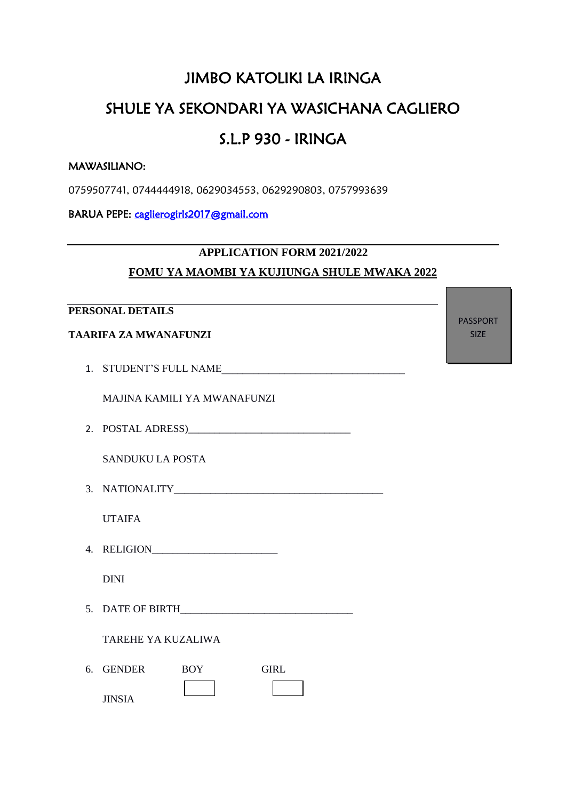## JIMBO KATOLIKI LA IRINGA

# SHULE YA SEKONDARI YA WASICHANA CAGLIERO

### S.L.P 930 - IRINGA

#### MAWASILIANO:

0759507741, 0744444918, 0629034553, 0629290803, 0757993639

BARUA PEPE: [caglierogirls2017@gmail.com](mailto:caglierogirls2017@gmail.com) 

### **APPLICATION FORM 2021/2022 FOMU YA MAOMBI YA KUJIUNGA SHULE MWAKA 2022**

#### **PERSONAL DETAILS**

#### **TAARIFA ZA MWANAFUNZI**

1. STUDENT'S FULL NAME

MAJINA KAMILI YA MWANAFUNZI

2. POSTAL ADRESS)

SANDUKU LA POSTA

3. NATIONALITY\_\_\_\_\_\_\_\_\_\_\_\_\_\_\_\_\_\_\_\_\_\_\_\_\_\_\_\_\_\_\_\_\_\_\_\_\_\_\_\_

UTAIFA

4. RELIGION\_\_\_\_\_\_\_\_\_\_\_\_\_\_\_\_\_\_\_\_\_\_\_\_

DINI

5. DATE OF BIRTH

TAREHE YA KUZALIWA

| 6. GENDER     | BOY | GIRI |
|---------------|-----|------|
| <b>JINSIA</b> |     |      |

PASSPORT SIZE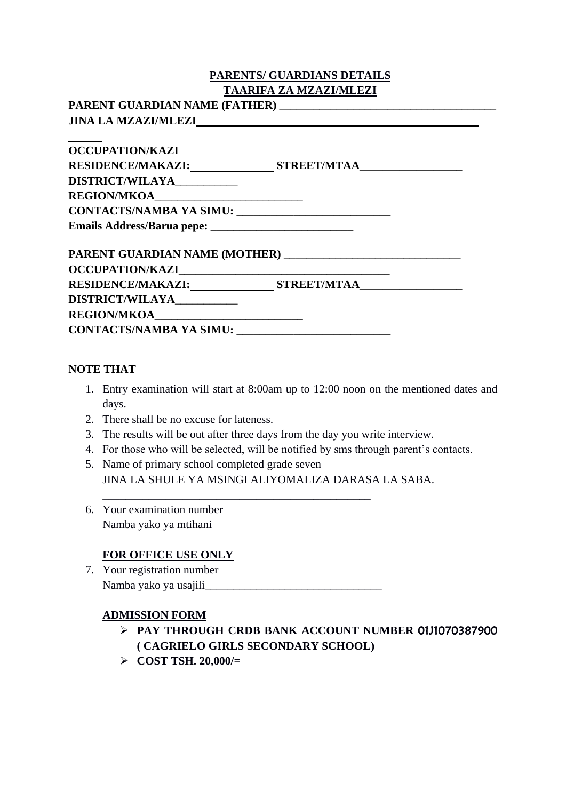#### **PARENTS/ GUARDIANS DETAILS TAARIFA ZA MZAZI/MLEZI**

**PARENT GUARDIAN NAME (FATHER) \_\_\_\_\_\_\_\_\_\_\_\_\_\_\_\_\_\_\_\_\_\_\_\_\_\_\_\_\_\_\_\_\_\_\_\_\_\_ JINA LA MZAZI/MLEZI**

| OCCUPATION/KAZI                |                               |  |
|--------------------------------|-------------------------------|--|
|                                |                               |  |
| DISTRICT/WILAYA__________      |                               |  |
|                                |                               |  |
|                                |                               |  |
|                                |                               |  |
| OCCUPATION/KAZI                |                               |  |
|                                | RESIDENCE/MAKAZI: STREET/MTAA |  |
|                                |                               |  |
| REGION/MKOA                    |                               |  |
| <b>CONTACTS/NAMBA YA SIMU:</b> |                               |  |

#### **NOTE THAT**

- 1. Entry examination will start at 8:00am up to 12:00 noon on the mentioned dates and days.
- 2. There shall be no excuse for lateness.
- 3. The results will be out after three days from the day you write interview.
- 4. For those who will be selected, will be notified by sms through parent's contacts.
- 5. Name of primary school completed grade seven JINA LA SHULE YA MSINGI ALIYOMALIZA DARASA LA SABA.
- 6. Your examination number Namba yako ya mtihani

#### **FOR OFFICE USE ONLY**

7. Your registration number Namba yako ya usajili\_\_\_\_\_\_\_\_\_\_\_\_\_\_\_\_\_\_\_\_\_\_\_\_\_\_\_\_\_\_\_

\_\_\_\_\_\_\_\_\_\_\_\_\_\_\_\_\_\_\_\_\_\_\_\_\_\_\_\_\_\_\_\_\_\_\_\_\_\_\_\_\_\_\_\_\_\_\_

#### **ADMISSION FORM**

- ➢ **PAY THROUGH CRDB BANK ACCOUNT NUMBER** 01J1070387900 **( CAGRIELO GIRLS SECONDARY SCHOOL)**
- ➢ **COST TSH. 20,000/=**